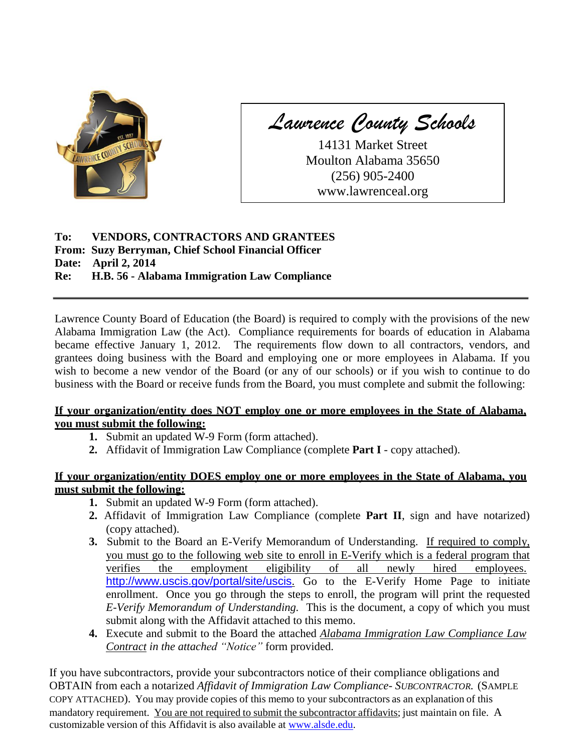

*Lawrence County Schools*

14131 Market Street Moulton Alabama 35650 (256) 905-2400 www.lawrenceal.org

## **To: VENDORS, CONTRACTORS AND GRANTEES From: Suzy Berryman, Chief School Financial Officer Date: April 2, 2014 Re: H.B. 56 - Alabama Immigration Law Compliance**

Lawrence County Board of Education (the Board) is required to comply with the provisions of the new Alabama Immigration Law (the Act). Compliance requirements for boards of education in Alabama became effective January 1, 2012. The requirements flow down to all contractors, vendors, and grantees doing business with the Board and employing one or more employees in Alabama. If you wish to become a new vendor of the Board (or any of our schools) or if you wish to continue to do business with the Board or receive funds from the Board, you must complete and submit the following:

### **If your organization/entity does NOT employ one or more employees in the State of Alabama, you must submit the following:**

- **1.** Submit an updated W-9 Form (form attached).
- **2.** Affidavit of Immigration Law Compliance (complete **Part I**  copy attached).

## **If your organization/entity DOES employ one or more employees in the State of Alabama, you must submit the following:**

- **1.** Submit an updated W-9 Form (form attached).
- **2.** Affidavit of Immigration Law Compliance (complete **Part II**, sign and have notarized) (copy attached).
- **3.** Submit to the Board an E-Verify Memorandum of Understanding. If required to comply, you must go to the following web site to enroll in E-Verify which is a federal program that verifies the employment eligibility of all newly hired employees. <http://www.uscis.gov/portal/site/uscis>. Go to the E-Verify Home Page to initiate enrollment. Once you go through the steps to enroll, the program will print the requested *E-Verify Memorandum of Understanding.* This is the document, a copy of which you must submit along with the Affidavit attached to this memo.
- **4.** Execute and submit to the Board the attached *Alabama Immigration Law Compliance Law Contract in the attached "Notice"* form provided.

If you have subcontractors, provide your subcontractors notice of their compliance obligations and OBTAIN from each a notarized *Affidavit of Immigration Law Compliance- SUBCONTRACTOR.* (SAMPLE COPY ATTACHED). You may provide copies of this memo to your subcontractors as an explanation of this mandatory requirement. You are not required to submit the subcontractor affidavits; just maintain on file. A customizable version of this Affidavit is also available at [www.alsde.edu.](http://www.alsde.edu/)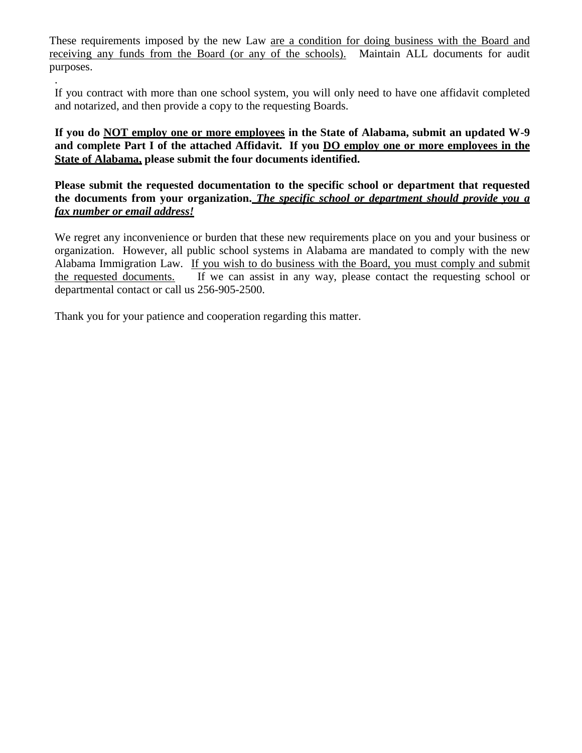These requirements imposed by the new Law are a condition for doing business with the Board and receiving any funds from the Board (or any of the schools). Maintain ALL documents for audit purposes.

If you contract with more than one school system, you will only need to have one affidavit completed and notarized, and then provide a copy to the requesting Boards.

**If you do NOT employ one or more employees in the State of Alabama, submit an updated W-9 and complete Part I of the attached Affidavit. If you DO employ one or more employees in the State of Alabama, please submit the four documents identified.**

**Please submit the requested documentation to the specific school or department that requested the documents from your organization.** *The specific school or department should provide you a fax number or email address!*

We regret any inconvenience or burden that these new requirements place on you and your business or organization. However, all public school systems in Alabama are mandated to comply with the new Alabama Immigration Law. If you wish to do business with the Board, you must comply and submit the requested documents. If we can assist in any way, please contact the requesting school or departmental contact or call us 256-905-2500.

Thank you for your patience and cooperation regarding this matter.

.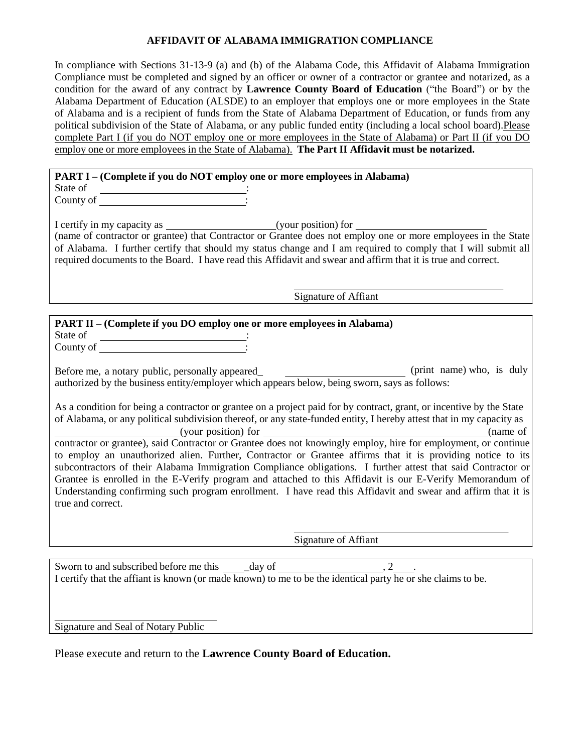### **AFFIDAVIT OF ALABAMA IMMIGRATION COMPLIANCE**

In compliance with Sections 31-13-9 (a) and (b) of the Alabama Code, this Affidavit of Alabama Immigration Compliance must be completed and signed by an officer or owner of a contractor or grantee and notarized, as a condition for the award of any contract by **Lawrence County Board of Education** ("the Board") or by the Alabama Department of Education (ALSDE) to an employer that employs one or more employees in the State of Alabama and is a recipient of funds from the State of Alabama Department of Education, or funds from any political subdivision of the State of Alabama, or any public funded entity (including a local school board).Please complete Part I (if you do NOT employ one or more employees in the State of Alabama) or Part II (if you DO employ one or more employees in the State of Alabama). **The Part II Affidavit must be notarized.**

# **PART I – (Complete if you do NOT employ one or more employees in Alabama)**

State of : County of :

I certify in my capacity as (your position) for (name of contractor or grantee) that Contractor or Grantee does not employ one or more employees in the State of Alabama. I further certify that should my status change and I am required to comply that I will submit all required documents to the Board. I have read this Affidavit and swear and affirm that it is true and correct.

Signature of Affiant

## **PART II – (Complete if you DO employ one or more employees in Alabama)**

State of County of Theorem 2014

Before me, a notary public, personally appeared\_ \_\_\_\_\_\_\_\_\_\_\_\_\_\_\_\_\_\_\_\_\_\_\_\_\_\_\_(print name) who, is duly authorized by the business entity/employer which appears below, being sworn, says as follows:

As a condition for being a contractor or grantee on a project paid for by contract, grant, or incentive by the State of Alabama, or any political subdivision thereof, or any state-funded entity, I hereby attest that in my capacity as

(your position) for (name of contractor or grantee), said Contractor or Grantee does not knowingly employ, hire for employment, or continue to employ an unauthorized alien. Further, Contractor or Grantee affirms that it is providing notice to its subcontractors of their Alabama Immigration Compliance obligations. I further attest that said Contractor or Grantee is enrolled in the E-Verify program and attached to this Affidavit is our E-Verify Memorandum of Understanding confirming such program enrollment. I have read this Affidavit and swear and affirm that it is true and correct.

Signature of Affiant

Sworn to and subscribed before me this day of  $\qquad \qquad 2$ I certify that the affiant is known (or made known) to me to be the identical party he or she claims to be.

Signature and Seal of Notary Public

Please execute and return to the **Lawrence County Board of Education.**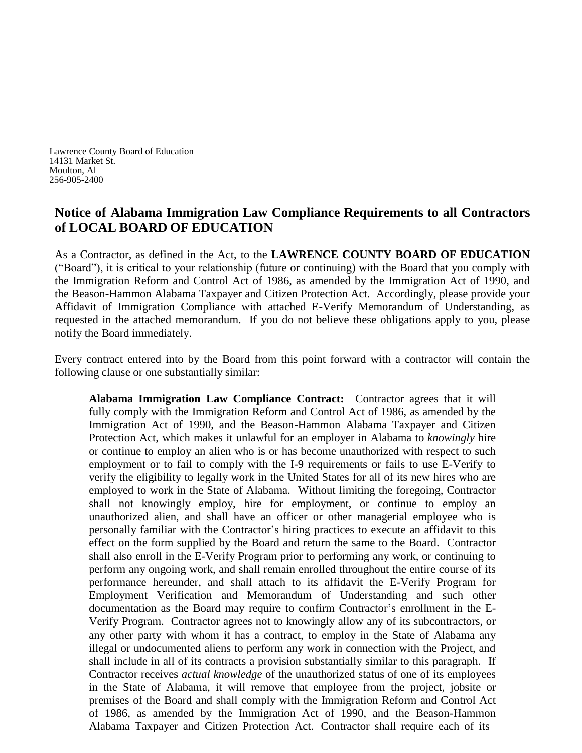Lawrence County Board of Education 14131 Market St. Moulton, Al 256-905-2400

## **Notice of Alabama Immigration Law Compliance Requirements to all Contractors of LOCAL BOARD OF EDUCATION**

As a Contractor, as defined in the Act, to the **LAWRENCE COUNTY BOARD OF EDUCATION** ("Board"), it is critical to your relationship (future or continuing) with the Board that you comply with the Immigration Reform and Control Act of 1986, as amended by the Immigration Act of 1990, and the Beason-Hammon Alabama Taxpayer and Citizen Protection Act. Accordingly, please provide your Affidavit of Immigration Compliance with attached E-Verify Memorandum of Understanding, as requested in the attached memorandum. If you do not believe these obligations apply to you, please notify the Board immediately.

Every contract entered into by the Board from this point forward with a contractor will contain the following clause or one substantially similar:

**Alabama Immigration Law Compliance Contract:** Contractor agrees that it will fully comply with the Immigration Reform and Control Act of 1986, as amended by the Immigration Act of 1990, and the Beason-Hammon Alabama Taxpayer and Citizen Protection Act, which makes it unlawful for an employer in Alabama to *knowingly* hire or continue to employ an alien who is or has become unauthorized with respect to such employment or to fail to comply with the I-9 requirements or fails to use E-Verify to verify the eligibility to legally work in the United States for all of its new hires who are employed to work in the State of Alabama. Without limiting the foregoing, Contractor shall not knowingly employ, hire for employment, or continue to employ an unauthorized alien, and shall have an officer or other managerial employee who is personally familiar with the Contractor's hiring practices to execute an affidavit to this effect on the form supplied by the Board and return the same to the Board. Contractor shall also enroll in the E-Verify Program prior to performing any work, or continuing to perform any ongoing work, and shall remain enrolled throughout the entire course of its performance hereunder, and shall attach to its affidavit the E-Verify Program for Employment Verification and Memorandum of Understanding and such other documentation as the Board may require to confirm Contractor's enrollment in the E-Verify Program. Contractor agrees not to knowingly allow any of its subcontractors, or any other party with whom it has a contract, to employ in the State of Alabama any illegal or undocumented aliens to perform any work in connection with the Project, and shall include in all of its contracts a provision substantially similar to this paragraph. If Contractor receives *actual knowledge* of the unauthorized status of one of its employees in the State of Alabama, it will remove that employee from the project, jobsite or premises of the Board and shall comply with the Immigration Reform and Control Act of 1986, as amended by the Immigration Act of 1990, and the Beason-Hammon Alabama Taxpayer and Citizen Protection Act. Contractor shall require each of its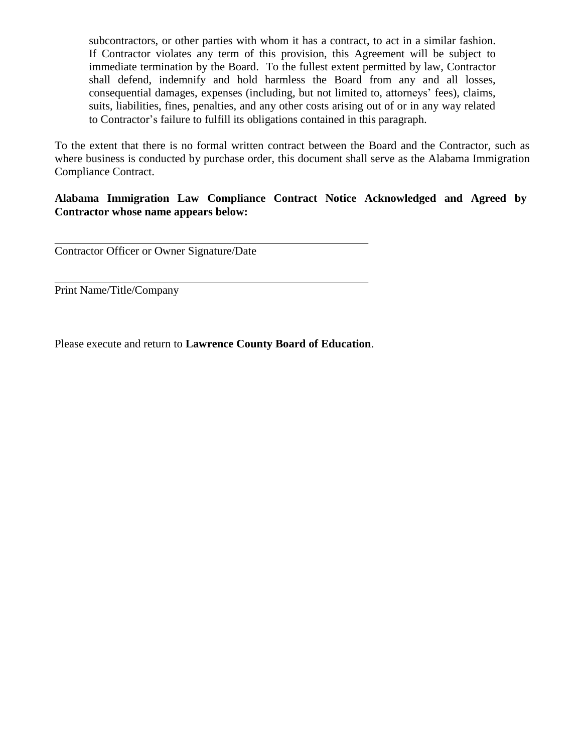subcontractors, or other parties with whom it has a contract, to act in a similar fashion. If Contractor violates any term of this provision, this Agreement will be subject to immediate termination by the Board. To the fullest extent permitted by law, Contractor shall defend, indemnify and hold harmless the Board from any and all losses, consequential damages, expenses (including, but not limited to, attorneys' fees), claims, suits, liabilities, fines, penalties, and any other costs arising out of or in any way related to Contractor's failure to fulfill its obligations contained in this paragraph.

To the extent that there is no formal written contract between the Board and the Contractor, such as where business is conducted by purchase order, this document shall serve as the Alabama Immigration Compliance Contract.

## **Alabama Immigration Law Compliance Contract Notice Acknowledged and Agreed by Contractor whose name appears below:**

Contractor Officer or Owner Signature/Date

Print Name/Title/Company

Please execute and return to **Lawrence County Board of Education**.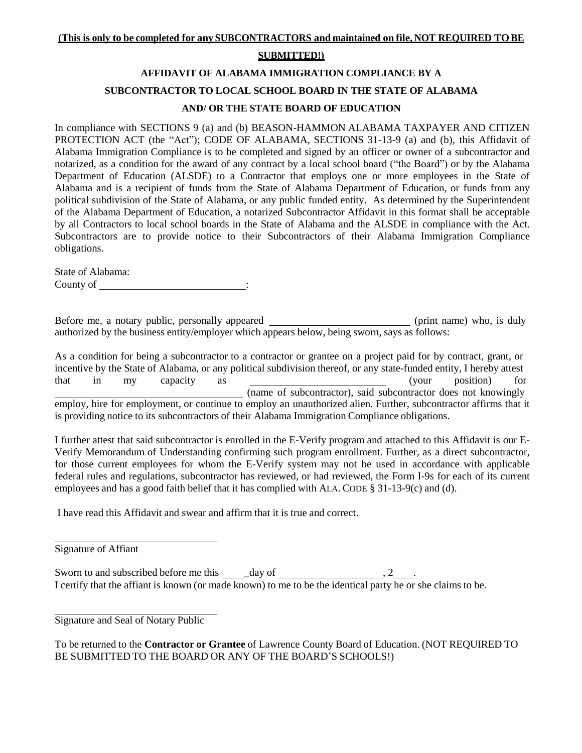#### **SUBMITTED!)**

## **AFFIDAVIT OF ALABAMA IMMIGRATION COMPLIANCE BY A SUBCONTRACTOR TO LOCAL SCHOOL BOARD IN THE STATE OF ALABAMA AND/ OR THE STATE BOARD OF EDUCATION**

In compliance with SECTIONS 9 (a) and (b) BEASON-HAMMON ALABAMA TAXPAYER AND CITIZEN PROTECTION ACT (the "Act"); CODE OF ALABAMA, SECTIONS 31-13-9 (a) and (b), this Affidavit of Alabama Immigration Compliance is to be completed and signed by an officer or owner of a subcontractor and notarized, as a condition for the award of any contract by a local school board ("the Board") or by the Alabama Department of Education (ALSDE) to a Contractor that employs one or more employees in the State of Alabama and is a recipient of funds from the State of Alabama Department of Education, or funds from any political subdivision of the State of Alabama, or any public funded entity. As determined by the Superintendent of the Alabama Department of Education, a notarized Subcontractor Affidavit in this format shall be acceptable by all Contractors to local school boards in the State of Alabama and the ALSDE in compliance with the Act. Subcontractors are to provide notice to their Subcontractors of their Alabama Immigration Compliance obligations.

State of Alabama: County of :

Before me, a notary public, personally appeared \_\_\_\_\_\_\_\_\_\_\_\_\_\_\_\_\_\_\_\_\_\_\_(print name) who, is duly authorized by the business entity/employer which appears below, being sworn, says as follows:

As a condition for being a subcontractor to a contractor or grantee on a project paid for by contract, grant, or incentive by the State of Alabama, or any political subdivision thereof, or any state-funded entity, I hereby attest that in my capacity as (your position) for (name of subcontractor), said subcontractor does not knowingly employ, hire for employment, or continue to employ an unauthorized alien. Further, subcontractor affirms that it is providing notice to its subcontractors of their Alabama Immigration Compliance obligations.

I further attest that said subcontractor is enrolled in the E-Verify program and attached to this Affidavit is our E-Verify Memorandum of Understanding confirming such program enrollment. Further, as a direct subcontractor, for those current employees for whom the E-Verify system may not be used in accordance with applicable federal rules and regulations, subcontractor has reviewed, or had reviewed, the Form I-9s for each of its current employees and has a good faith belief that it has complied with ALA. CODE  $\S$  31-13-9(c) and (d).

I have read this Affidavit and swear and affirm that it is true and correct.

Signature of Affiant

Sworn to and subscribed before me this  $\frac{d}{dx}$  day of  $\frac{1}{x}$ , 2 I certify that the affiant is known (or made known) to me to be the identical party he or she claims to be.

Signature and Seal of Notary Public

To be returned to the **Contractor or Grantee** of Lawrence County Board of Education. (NOT REQUIRED TO BE SUBMITTED TO THE BOARD OR ANY OF THE BOARD'S SCHOOLS!)